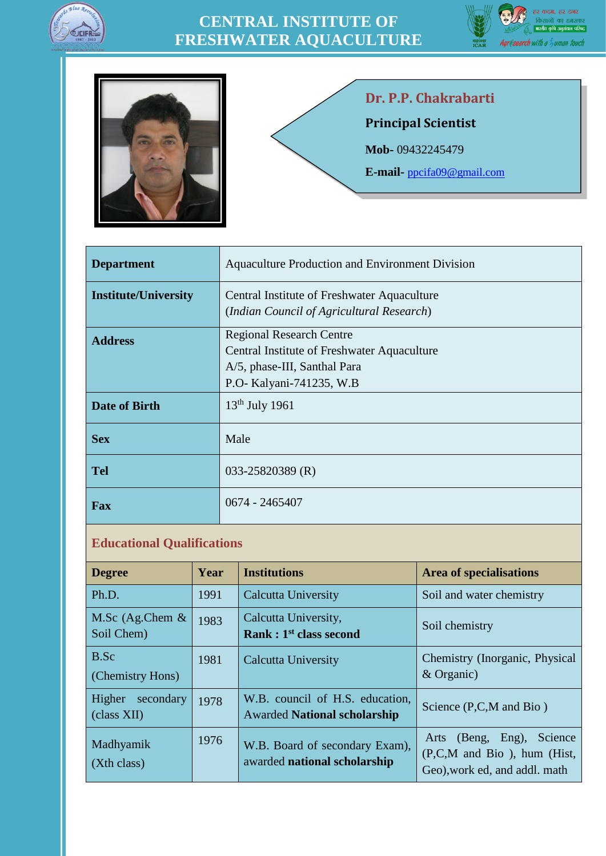





# **Dr. P.P. Chakrabarti**

**Principal Scientist**

**Mob-** 09432245479

**E-mail-** [ppcifa09@gmail.com](mailto:ppcifa09@gmail.com)

| <b>Department</b>           | Aquaculture Production and Environment Division |
|-----------------------------|-------------------------------------------------|
| <b>Institute/University</b> | Central Institute of Freshwater Aquaculture     |
|                             | (Indian Council of Agricultural Research)       |
| <b>Address</b>              | <b>Regional Research Centre</b>                 |
|                             | Central Institute of Freshwater Aquaculture     |
|                             | A/5, phase-III, Santhal Para                    |
|                             | P.O- Kalyani-741235, W.B                        |
| <b>Date of Birth</b>        | $13th$ July 1961                                |
| <b>Sex</b>                  | Male                                            |
| <b>Tel</b>                  | 033-25820389 (R)                                |
| <b>Fax</b>                  | 0674 - 2465407                                  |

#### **Educational Qualifications**

| <b>Degree</b>                      | Year | <b>Institutions</b>                                                    | <b>Area of specialisations</b>                                                                  |
|------------------------------------|------|------------------------------------------------------------------------|-------------------------------------------------------------------------------------------------|
| Ph.D.                              | 1991 | <b>Calcutta University</b>                                             | Soil and water chemistry                                                                        |
| M.Sc $(Ag.Chem &$<br>Soil Chem)    | 1983 | Calcutta University,<br>Rank: 1 <sup>st</sup> class second             | Soil chemistry                                                                                  |
| B.Sc<br>(Chemistry Hons)           | 1981 | <b>Calcutta University</b>                                             | Chemistry (Inorganic, Physical<br>& Organic)                                                    |
| Higher<br>secondary<br>(class XII) | 1978 | W.B. council of H.S. education,<br><b>Awarded National scholarship</b> | Science $(P, C, M \text{ and } Bio)$                                                            |
| Madhyamik<br>(Xth class)           | 1976 | W.B. Board of secondary Exam),<br>awarded national scholarship         | (Beng, Eng),<br>Science<br>Arts<br>(P,C,M and Bio), hum (Hist,<br>Geo), work ed, and addl. math |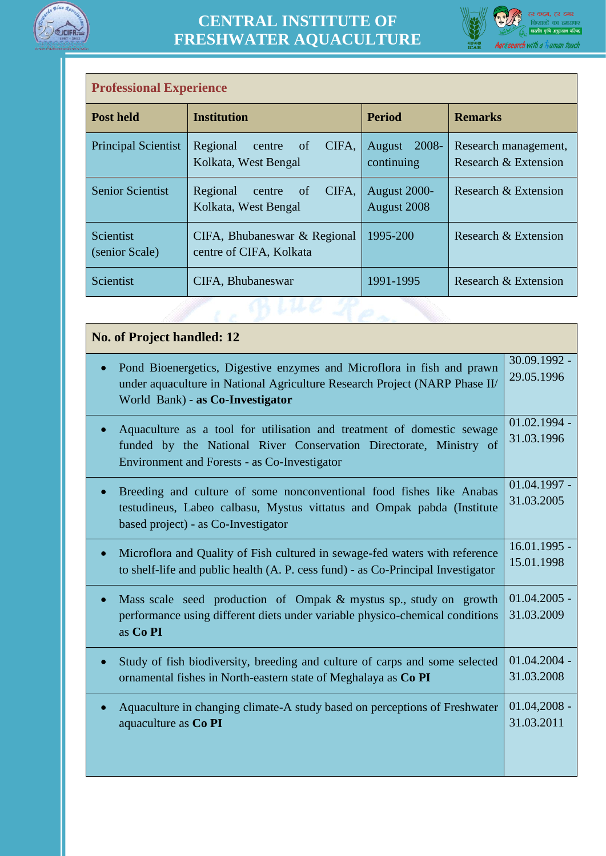



| <b>Professional Experience</b> |                                                           |                               |                                              |
|--------------------------------|-----------------------------------------------------------|-------------------------------|----------------------------------------------|
| <b>Post held</b>               | <b>Institution</b>                                        | <b>Period</b>                 | <b>Remarks</b>                               |
| <b>Principal Scientist</b>     | Regional<br>CIFA,<br>of<br>centre<br>Kolkata, West Bengal | 2008-<br>August<br>continuing | Research management,<br>Research & Extension |
| <b>Senior Scientist</b>        | Regional<br>CIFA,<br>of<br>centre<br>Kolkata, West Bengal | August 2000-<br>August 2008   | Research & Extension                         |
| Scientist<br>(senior Scale)    | CIFA, Bhubaneswar & Regional<br>centre of CIFA, Kolkata   | 1995-200                      | Research & Extension                         |
| Scientist                      | CIFA, Bhubaneswar                                         | 1991-1995                     | Research & Extension                         |
|                                |                                                           |                               |                                              |

| <b>No. of Project handled: 12</b>                                                                                                                                                                  |                              |
|----------------------------------------------------------------------------------------------------------------------------------------------------------------------------------------------------|------------------------------|
| Pond Bioenergetics, Digestive enzymes and Microflora in fish and prawn<br>under aquaculture in National Agriculture Research Project (NARP Phase II/<br>World Bank) - as Co-Investigator           | 30.09.1992 -<br>29.05.1996   |
| Aquaculture as a tool for utilisation and treatment of domestic sewage<br>funded by the National River Conservation Directorate, Ministry of<br>Environment and Forests - as Co-Investigator       | $01.02.1994 -$<br>31.03.1996 |
| Breeding and culture of some nonconventional food fishes like Anabas<br>$\bullet$<br>testudineus, Labeo calbasu, Mystus vittatus and Ompak pabda (Institute<br>based project) - as Co-Investigator | $01.04.1997 -$<br>31.03.2005 |
| Microflora and Quality of Fish cultured in sewage-fed waters with reference<br>$\bullet$<br>to shelf-life and public health (A. P. cess fund) - as Co-Principal Investigator                       | 16.01.1995 -<br>15.01.1998   |
| Mass scale seed production of Ompak & mystus sp., study on growth<br>$\bullet$<br>performance using different diets under variable physico-chemical conditions<br>as Co PI                         | $01.04.2005 -$<br>31.03.2009 |
| Study of fish biodiversity, breeding and culture of carps and some selected<br>ornamental fishes in North-eastern state of Meghalaya as Co PI                                                      | $01.04.2004 -$<br>31.03.2008 |
| Aquaculture in changing climate-A study based on perceptions of Freshwater<br>aquaculture as Co PI                                                                                                 | $01.04,2008 -$<br>31.03.2011 |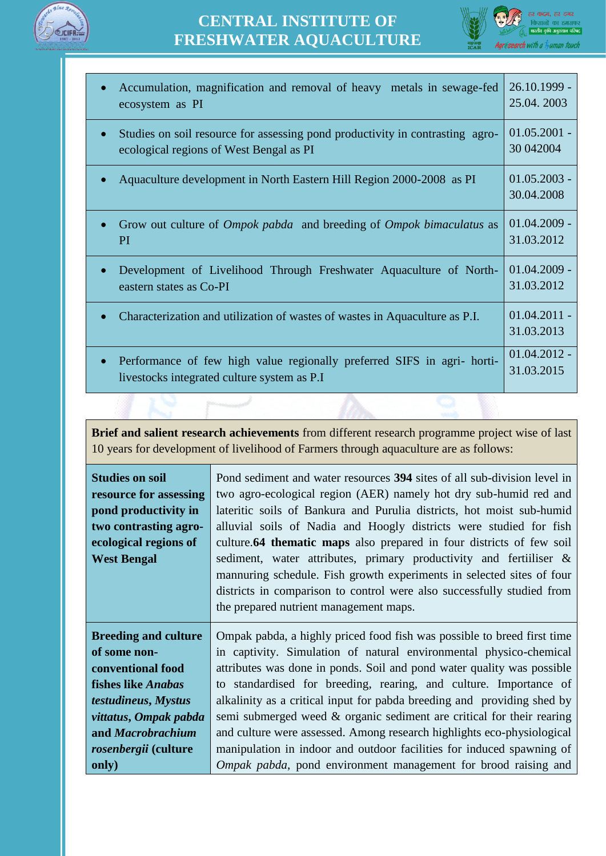



| Accumulation, magnification and removal of heavy metals in sewage-fed<br>$\bullet$<br>ecosystem as PI                                 | $26.10.1999 -$<br>25.04.2003 |
|---------------------------------------------------------------------------------------------------------------------------------------|------------------------------|
| Studies on soil resource for assessing pond productivity in contrasting agro-<br>$\bullet$<br>ecological regions of West Bengal as PI | $01.05.2001 -$<br>30 04 2004 |
| Aquaculture development in North Eastern Hill Region 2000-2008 as PI                                                                  | $01.05.2003 -$<br>30.04.2008 |
| Grow out culture of <i>Ompok pabda</i> and breeding of <i>Ompok bimaculatus</i> as<br>PI                                              | $01.04.2009 -$<br>31.03.2012 |
| Development of Livelihood Through Freshwater Aquaculture of North-<br>eastern states as Co-PI                                         | $01.04.2009 -$<br>31.03.2012 |
| Characterization and utilization of wastes of wastes in Aquaculture as P.I.                                                           | $01.04.2011 -$<br>31.03.2013 |
| Performance of few high value regionally preferred SIFS in agri- horti-<br>$\bullet$<br>livestocks integrated culture system as P.I   | $01.04.2012 -$<br>31.03.2015 |

**Brief and salient research achievements** from different research programme project wise of last 10 years for development of livelihood of Farmers through aquaculture are as follows:

| <b>Studies on soil</b><br>resource for assessing<br>pond productivity in<br>two contrasting agro-<br>ecological regions of<br><b>West Bengal</b> | Pond sediment and water resources 394 sites of all sub-division level in<br>two agro-ecological region (AER) namely hot dry sub-humid red and<br>lateritic soils of Bankura and Purulia districts, hot moist sub-humid<br>alluvial soils of Nadia and Hoogly districts were studied for fish<br>culture.64 thematic maps also prepared in four districts of few soil<br>sediment, water attributes, primary productivity and fertilliser &<br>mannuring schedule. Fish growth experiments in selected sites of four<br>districts in comparison to control were also successfully studied from<br>the prepared nutrient management maps. |
|--------------------------------------------------------------------------------------------------------------------------------------------------|-----------------------------------------------------------------------------------------------------------------------------------------------------------------------------------------------------------------------------------------------------------------------------------------------------------------------------------------------------------------------------------------------------------------------------------------------------------------------------------------------------------------------------------------------------------------------------------------------------------------------------------------|
| <b>Breeding and culture</b>                                                                                                                      | Ompak pabda, a highly priced food fish was possible to breed first time                                                                                                                                                                                                                                                                                                                                                                                                                                                                                                                                                                 |
| of some non-                                                                                                                                     | in captivity. Simulation of natural environmental physico-chemical                                                                                                                                                                                                                                                                                                                                                                                                                                                                                                                                                                      |
| conventional food                                                                                                                                | attributes was done in ponds. Soil and pond water quality was possible                                                                                                                                                                                                                                                                                                                                                                                                                                                                                                                                                                  |
| <b>fishes like Anabas</b>                                                                                                                        | to standardised for breeding, rearing, and culture. Importance of                                                                                                                                                                                                                                                                                                                                                                                                                                                                                                                                                                       |
| testudineus, Mystus                                                                                                                              | alkalinity as a critical input for pabda breeding and providing shed by                                                                                                                                                                                                                                                                                                                                                                                                                                                                                                                                                                 |
| vittatus, Ompak pabda                                                                                                                            | semi submerged weed & organic sediment are critical for their rearing                                                                                                                                                                                                                                                                                                                                                                                                                                                                                                                                                                   |
| and Macrobrachium                                                                                                                                | and culture were assessed. Among research highlights eco-physiological                                                                                                                                                                                                                                                                                                                                                                                                                                                                                                                                                                  |
| rosenbergii (culture                                                                                                                             | manipulation in indoor and outdoor facilities for induced spawning of                                                                                                                                                                                                                                                                                                                                                                                                                                                                                                                                                                   |
| only)                                                                                                                                            | <i>Ompak pabda</i> , pond environment management for brood raising and                                                                                                                                                                                                                                                                                                                                                                                                                                                                                                                                                                  |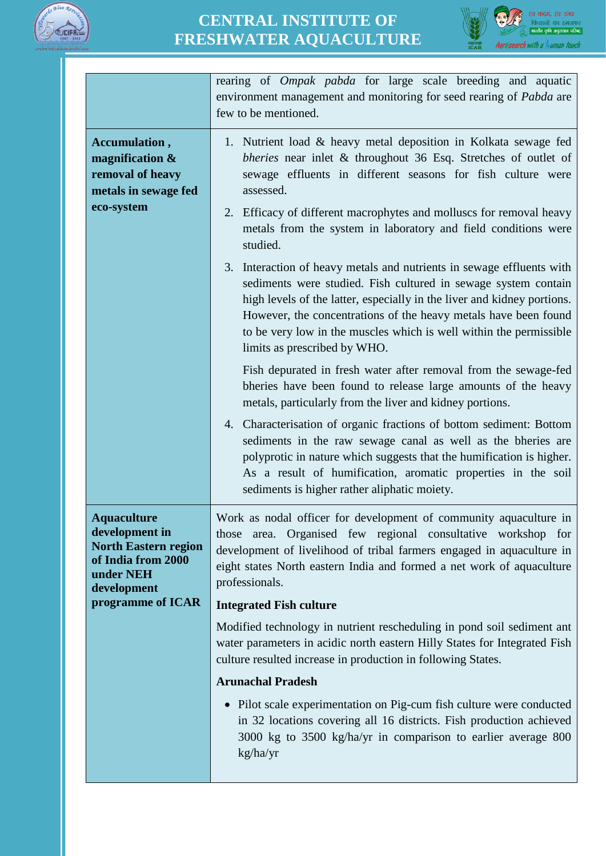



|                                                                                                                       | rearing of <i>Ompak pabda</i> for large scale breeding and aquatic<br>environment management and monitoring for seed rearing of Pabda are<br>few to be mentioned.                                                                                                                                                                                                                           |
|-----------------------------------------------------------------------------------------------------------------------|---------------------------------------------------------------------------------------------------------------------------------------------------------------------------------------------------------------------------------------------------------------------------------------------------------------------------------------------------------------------------------------------|
| Accumulation,<br>magnification $\&$<br>removal of heavy<br>metals in sewage fed                                       | 1. Nutrient load & heavy metal deposition in Kolkata sewage fed<br>bheries near inlet & throughout 36 Esq. Stretches of outlet of<br>sewage effluents in different seasons for fish culture were<br>assessed.                                                                                                                                                                               |
| eco-system                                                                                                            | 2. Efficacy of different macrophytes and molluscs for removal heavy<br>metals from the system in laboratory and field conditions were<br>studied.                                                                                                                                                                                                                                           |
|                                                                                                                       | 3. Interaction of heavy metals and nutrients in sewage effluents with<br>sediments were studied. Fish cultured in sewage system contain<br>high levels of the latter, especially in the liver and kidney portions.<br>However, the concentrations of the heavy metals have been found<br>to be very low in the muscles which is well within the permissible<br>limits as prescribed by WHO. |
|                                                                                                                       | Fish depurated in fresh water after removal from the sewage-fed<br>bheries have been found to release large amounts of the heavy<br>metals, particularly from the liver and kidney portions.                                                                                                                                                                                                |
|                                                                                                                       | 4. Characterisation of organic fractions of bottom sediment: Bottom<br>sediments in the raw sewage canal as well as the bheries are<br>polyprotic in nature which suggests that the humification is higher.<br>As a result of humification, aromatic properties in the soil<br>sediments is higher rather aliphatic moiety.                                                                 |
| <b>Aquaculture</b><br>development in<br><b>North Eastern region</b><br>of India from 2000<br>under NEH<br>development | Work as nodal officer for development of community aquaculture in<br>those area. Organised few regional consultative workshop for<br>development of livelihood of tribal farmers engaged in aquaculture in<br>eight states North eastern India and formed a net work of aquaculture<br>professionals.                                                                                       |
| programme of ICAR                                                                                                     | <b>Integrated Fish culture</b>                                                                                                                                                                                                                                                                                                                                                              |
|                                                                                                                       | Modified technology in nutrient rescheduling in pond soil sediment ant<br>water parameters in acidic north eastern Hilly States for Integrated Fish<br>culture resulted increase in production in following States.                                                                                                                                                                         |
|                                                                                                                       | <b>Arunachal Pradesh</b>                                                                                                                                                                                                                                                                                                                                                                    |
|                                                                                                                       | • Pilot scale experimentation on Pig-cum fish culture were conducted<br>in 32 locations covering all 16 districts. Fish production achieved<br>3000 kg to 3500 kg/ha/yr in comparison to earlier average 800<br>kg/ha/yr                                                                                                                                                                    |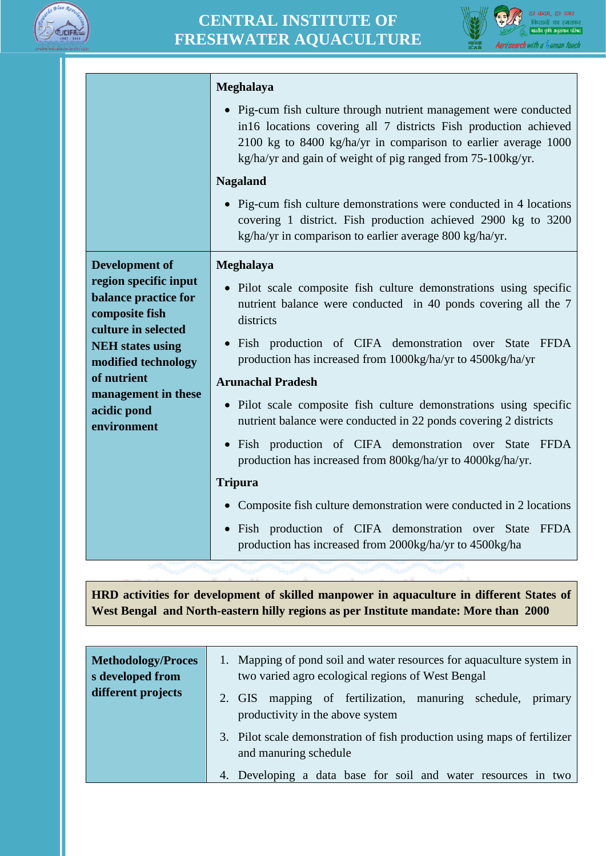



|                                                                                        | Meghalaya                                                                                                                                                                                                                                                              |
|----------------------------------------------------------------------------------------|------------------------------------------------------------------------------------------------------------------------------------------------------------------------------------------------------------------------------------------------------------------------|
|                                                                                        | • Pig-cum fish culture through nutrient management were conducted<br>in16 locations covering all 7 districts Fish production achieved<br>2100 kg to 8400 kg/ha/yr in comparison to earlier average 1000<br>kg/ha/yr and gain of weight of pig ranged from 75-100kg/yr. |
|                                                                                        | <b>Nagaland</b>                                                                                                                                                                                                                                                        |
|                                                                                        | • Pig-cum fish culture demonstrations were conducted in 4 locations<br>covering 1 district. Fish production achieved 2900 kg to 3200<br>kg/ha/yr in comparison to earlier average 800 kg/ha/yr.                                                                        |
| Development of                                                                         | Meghalaya                                                                                                                                                                                                                                                              |
| region specific input<br>balance practice for<br>composite fish<br>culture in selected | • Pilot scale composite fish culture demonstrations using specific<br>nutrient balance were conducted in 40 ponds covering all the 7<br>districts                                                                                                                      |
| <b>NEH</b> states using<br>modified technology                                         | · Fish production of CIFA demonstration over State FFDA<br>production has increased from 1000kg/ha/yr to 4500kg/ha/yr                                                                                                                                                  |
| of nutrient                                                                            | <b>Arunachal Pradesh</b>                                                                                                                                                                                                                                               |
| management in these<br>acidic pond<br>environment                                      | • Pilot scale composite fish culture demonstrations using specific<br>nutrient balance were conducted in 22 ponds covering 2 districts                                                                                                                                 |
|                                                                                        | · Fish production of CIFA demonstration over State FFDA<br>production has increased from 800kg/ha/yr to 4000kg/ha/yr.                                                                                                                                                  |
|                                                                                        | <b>Tripura</b>                                                                                                                                                                                                                                                         |
|                                                                                        | • Composite fish culture demonstration were conducted in 2 locations                                                                                                                                                                                                   |
|                                                                                        | · Fish production of CIFA demonstration over State FFDA<br>production has increased from 2000kg/ha/yr to 4500kg/ha                                                                                                                                                     |

**HRD activities for development of skilled manpower in aquaculture in different States of West Bengal and North-eastern hilly regions as per Institute mandate: More than 2000**

| <b>Methodology/Proces</b><br>s developed from | 1. Mapping of pond soil and water resources for aquaculture system in<br>two varied agro ecological regions of West Bengal |
|-----------------------------------------------|----------------------------------------------------------------------------------------------------------------------------|
| different projects                            | mapping of fertilization, manuring schedule, primary<br>2. GIS<br>productivity in the above system                         |
|                                               | 3. Pilot scale demonstration of fish production using maps of fertilizer<br>and manuring schedule                          |
|                                               | 4. Developing a data base for soil and water resources in two                                                              |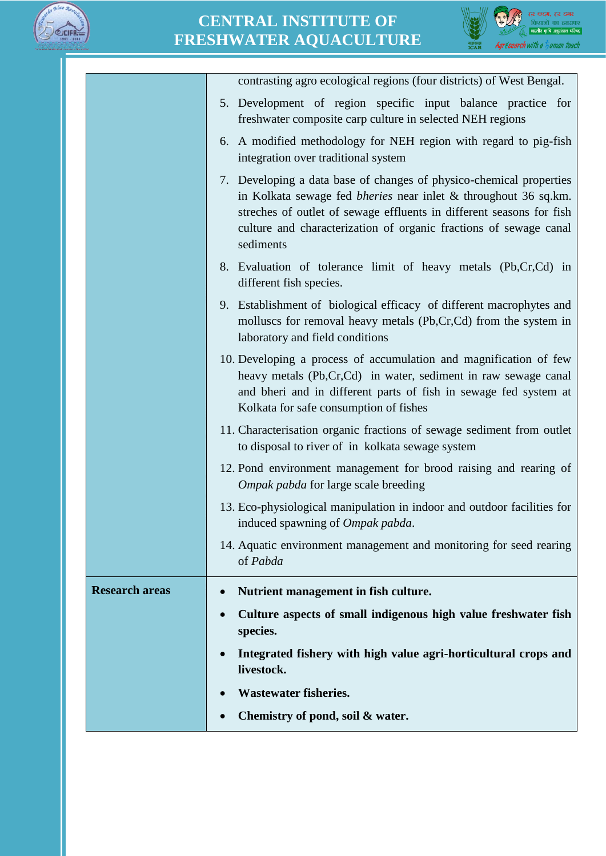



|                       | contrasting agro ecological regions (four districts) of West Bengal.                                                                                                                                                                                                                                    |
|-----------------------|---------------------------------------------------------------------------------------------------------------------------------------------------------------------------------------------------------------------------------------------------------------------------------------------------------|
|                       | 5. Development of region specific input balance practice for<br>freshwater composite carp culture in selected NEH regions                                                                                                                                                                               |
|                       | 6. A modified methodology for NEH region with regard to pig-fish<br>integration over traditional system                                                                                                                                                                                                 |
|                       | 7. Developing a data base of changes of physico-chemical properties<br>in Kolkata sewage fed <i>bheries</i> near inlet & throughout 36 sq.km.<br>streches of outlet of sewage effluents in different seasons for fish<br>culture and characterization of organic fractions of sewage canal<br>sediments |
|                       | 8. Evaluation of tolerance limit of heavy metals (Pb,Cr,Cd) in<br>different fish species.                                                                                                                                                                                                               |
|                       | 9. Establishment of biological efficacy of different macrophytes and<br>molluscs for removal heavy metals (Pb,Cr,Cd) from the system in<br>laboratory and field conditions                                                                                                                              |
|                       | 10. Developing a process of accumulation and magnification of few<br>heavy metals (Pb,Cr,Cd) in water, sediment in raw sewage canal<br>and bheri and in different parts of fish in sewage fed system at<br>Kolkata for safe consumption of fishes                                                       |
|                       | 11. Characterisation organic fractions of sewage sediment from outlet<br>to disposal to river of in kolkata sewage system                                                                                                                                                                               |
|                       | 12. Pond environment management for brood raising and rearing of<br>Ompak pabda for large scale breeding                                                                                                                                                                                                |
|                       | 13. Eco-physiological manipulation in indoor and outdoor facilities for<br>induced spawning of <i>Ompak pabda</i> .                                                                                                                                                                                     |
|                       | 14. Aquatic environment management and monitoring for seed rearing<br>of Pabda                                                                                                                                                                                                                          |
| <b>Research areas</b> | Nutrient management in fish culture.                                                                                                                                                                                                                                                                    |
|                       | Culture aspects of small indigenous high value freshwater fish<br>$\bullet$<br>species.                                                                                                                                                                                                                 |
|                       | Integrated fishery with high value agri-horticultural crops and<br>$\bullet$<br>livestock.                                                                                                                                                                                                              |
|                       | <b>Wastewater fisheries.</b>                                                                                                                                                                                                                                                                            |
|                       | Chemistry of pond, soil & water.                                                                                                                                                                                                                                                                        |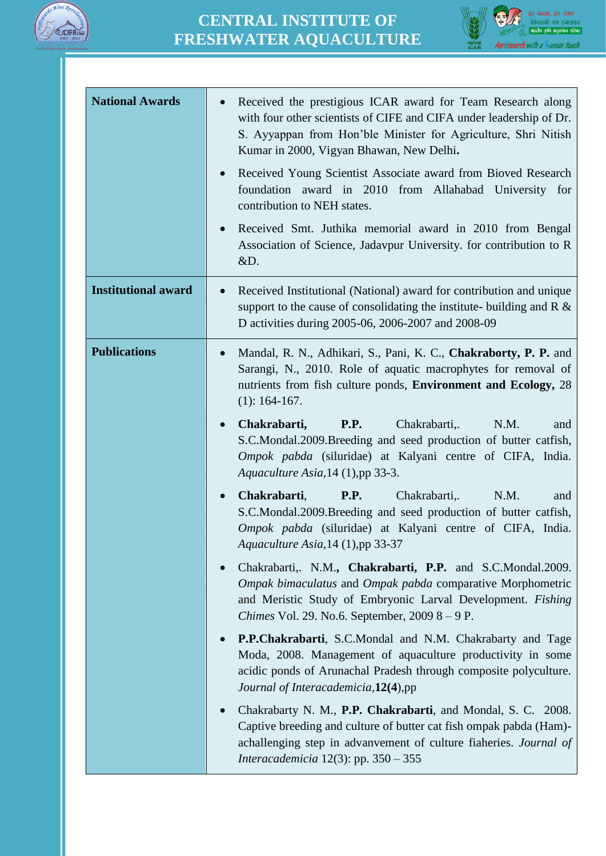



| <b>National Awards</b>     | Received the prestigious ICAR award for Team Research along<br>with four other scientists of CIFE and CIFA under leadership of Dr.<br>S. Ayyappan from Hon'ble Minister for Agriculture, Shri Nitish<br>Kumar in 2000, Vigyan Bhawan, New Delhi.<br>Received Young Scientist Associate award from Bioved Research<br>$\bullet$<br>foundation award in 2010 from Allahabad University for<br>contribution to NEH states.<br>Received Smt. Juthika memorial award in 2010 from Bengal<br>Association of Science, Jadavpur University. for contribution to R<br>&D. |
|----------------------------|------------------------------------------------------------------------------------------------------------------------------------------------------------------------------------------------------------------------------------------------------------------------------------------------------------------------------------------------------------------------------------------------------------------------------------------------------------------------------------------------------------------------------------------------------------------|
| <b>Institutional award</b> | Received Institutional (National) award for contribution and unique<br>support to the cause of consolidating the institute- building and $R \&$<br>D activities during 2005-06, 2006-2007 and 2008-09                                                                                                                                                                                                                                                                                                                                                            |
| <b>Publications</b>        | Mandal, R. N., Adhikari, S., Pani, K. C., Chakraborty, P. P. and<br>Sarangi, N., 2010. Role of aquatic macrophytes for removal of<br>nutrients from fish culture ponds, Environment and Ecology, 28<br>$(1): 164-167.$<br>Chakrabarti,<br><b>P.P.</b><br>Chakrabarti,.<br>N.M.<br>and                                                                                                                                                                                                                                                                            |
|                            | S.C.Mondal.2009.Breeding and seed production of butter catfish,<br>Ompok pabda (siluridae) at Kalyani centre of CIFA, India.<br>Aquaculture Asia, 14 (1), pp 33-3.                                                                                                                                                                                                                                                                                                                                                                                               |
|                            | <b>P.P.</b><br>Chakrabarti,<br>Chakrabarti,.<br>N.M.<br>and<br>S.C.Mondal.2009.Breeding and seed production of butter catfish,<br>Ompok pabda (siluridae) at Kalyani centre of CIFA, India.<br>Aquaculture Asia, 14 (1), pp 33-37                                                                                                                                                                                                                                                                                                                                |
|                            | Chakrabarti,. N.M., Chakrabarti, P.P. and S.C.Mondal.2009.<br>$\bullet$<br>Ompak bimaculatus and Ompak pabda comparative Morphometric<br>and Meristic Study of Embryonic Larval Development. Fishing<br>Chimes Vol. 29. No.6. September, 2009 8 - 9 P.                                                                                                                                                                                                                                                                                                           |
|                            | P.P.Chakrabarti, S.C.Mondal and N.M. Chakrabarty and Tage<br>Moda, 2008. Management of aquaculture productivity in some<br>acidic ponds of Arunachal Pradesh through composite polyculture.<br>Journal of Interacademicia, 12(4), pp                                                                                                                                                                                                                                                                                                                             |
|                            | Chakrabarty N. M., P.P. Chakrabarti, and Mondal, S. C. 2008.<br>$\bullet$<br>Captive breeding and culture of butter cat fish ompak pabda (Ham)-<br>achallenging step in advanvement of culture fiaheries. Journal of<br><i>Interacademicia</i> 12(3): pp. $350 - 355$                                                                                                                                                                                                                                                                                            |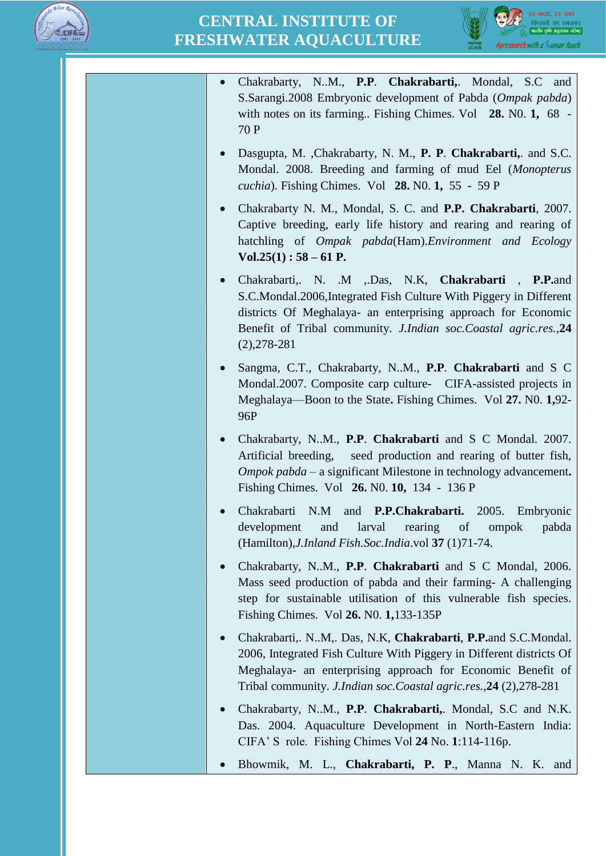



| Chakrabarty, N.M., P.P. Chakrabarti, Mondal, S.C and<br>S.Sarangi.2008 Embryonic development of Pabda (Ompak pabda)<br>with notes on its farming Fishing Chimes. Vol 28. No. 1, 68 -<br>70 P                                                                                                     |
|--------------------------------------------------------------------------------------------------------------------------------------------------------------------------------------------------------------------------------------------------------------------------------------------------|
| Dasgupta, M. ,Chakrabarty, N. M., P. P. Chakrabarti,. and S.C.<br>$\bullet$<br>Mondal. 2008. Breeding and farming of mud Eel (Monopterus<br><i>cuchia</i> ). Fishing Chimes. Vol 28. No. 1, 55 - 59 P                                                                                            |
| Chakrabarty N. M., Mondal, S. C. and P.P. Chakrabarti, 2007.<br>$\bullet$<br>Captive breeding, early life history and rearing and rearing of<br>hatchling of <i>Ompak pabda</i> (Ham). Environment and Ecology<br>$Vol.25(1): 58 - 61 P.$                                                        |
| Chakrabarti, N. .M , Das, N.K, Chakrabarti , P.P.and<br>$\bullet$<br>S.C.Mondal.2006, Integrated Fish Culture With Piggery in Different<br>districts Of Meghalaya- an enterprising approach for Economic<br>Benefit of Tribal community. J.Indian soc.Coastal agric.res., 24<br>$(2), 278 - 281$ |
| Sangma, C.T., Chakrabarty, N.M., P.P. Chakrabarti and S C<br>$\bullet$<br>Mondal.2007. Composite carp culture- CIFA-assisted projects in<br>Meghalaya—Boon to the State. Fishing Chimes. Vol 27. No. 1,92-<br>96P                                                                                |
| Chakrabarty, N.M., P.P. Chakrabarti and S C Mondal. 2007.<br>$\bullet$<br>Artificial breeding, seed production and rearing of butter fish,<br><i>Ompok pabda</i> – a significant Milestone in technology advancement.<br>Fishing Chimes. Vol 26. No. 10, 134 - 136 P                             |
| and <b>P.P.Chakrabarti.</b><br>Chakrabarti N.M<br>2005.<br>Embryonic<br>rearing of<br>development<br>and<br>larval<br>ompok<br>pabda<br>(Hamilton), J. Inland Fish. Soc. India. vol 37 (1) 71-74.                                                                                                |
| Chakrabarty, NM., P.P. Chakrabarti and S C Mondal, 2006.<br>Mass seed production of pabda and their farming- A challenging<br>step for sustainable utilisation of this vulnerable fish species.<br>Fishing Chimes. Vol 26. No. 1,133-135P                                                        |
| Chakrabarti,. N.M., Das, N.K., Chakrabarti, P.P.and S.C.Mondal.<br>$\bullet$<br>2006, Integrated Fish Culture With Piggery in Different districts Of<br>Meghalaya- an enterprising approach for Economic Benefit of<br>Tribal community. J.Indian soc.Coastal agric.res., 24 (2), 278-281        |
| Chakrabarty, NM., P.P. Chakrabarti, Mondal, S.C and N.K.<br>$\bullet$<br>Das. 2004. Aquaculture Development in North-Eastern India:<br>CIFA' S role. Fishing Chimes Vol 24 No. 1:114-116p.                                                                                                       |
| Bhowmik, M. L., Chakrabarti, P. P., Manna N. K.<br>and<br>$\bullet$                                                                                                                                                                                                                              |